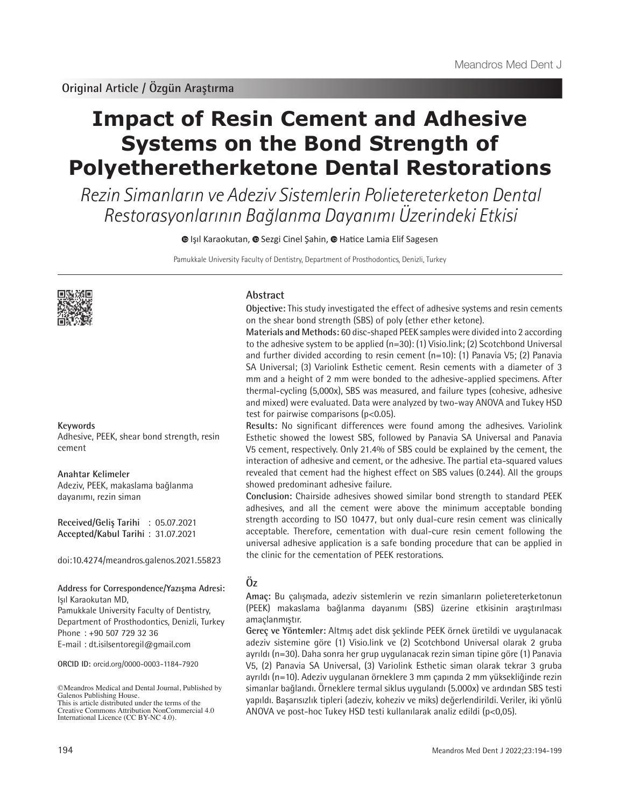# **Impact of Resin Cement and Adhesive Systems on the Bond Strength of Polyetheretherketone Dental Restorations**

Rezin Simanların ve Adeziv Sistemlerin Polietereterketon Dental Restorasyonlarının Bağlanma Dayanımı Üzerindeki Etkisi

**IsilKaraokutan, @ Sezgi Cinel Şahin, @ Hatice Lamia Elif Sagesen** 

Pamukkale University Faculty of Dentistry, Department of Prosthodontics, Denizli, Turkey



**Keywords**

Adhesive, PEEK, shear bond strength, resin cement

**Anahtar Kelimeler** Adeziv, PEEK, makaslama bağlanma dayanımı, rezin siman

**Received/Geliş Tarihi** : 05.07.2021 **Accepted/Kabul Tarihi** : 31.07.2021

doi:10.4274/meandros.galenos.2021.55823

**Address for Correspondence/Yazışma Adresi:** Işıl Karaokutan MD, Pamukkale University Faculty of Dentistry, Department of Prosthodontics, Denizli, Turkey Phone : +90 507 729 32 36 E-mail : dt.isilsentoregil@gmail.com

**ORCID ID:** orcid.org/0000-0003-1184-7920

©Meandros Medical and Dental Journal, Published by Galenos Publishing House. This is article distributed under the terms of the

#### **Abstract**

**Objective:** This study investigated the effect of adhesive systems and resin cements on the shear bond strength (SBS) of poly (ether ether ketone).

**Materials and Methods:** 60 disc-shaped PEEK samples were divided into 2 according to the adhesive system to be applied (n=30): (1) Visio.link; (2) Scotchbond Universal and further divided according to resin cement (n=10): (1) Panavia V5; (2) Panavia SA Universal; (3) Variolink Esthetic cement. Resin cements with a diameter of 3 mm and a height of 2 mm were bonded to the adhesive-applied specimens. After thermal-cycling (5,000x), SBS was measured, and failure types (cohesive, adhesive and mixed) were evaluated. Data were analyzed by two-way ANOVA and Tukey HSD test for pairwise comparisons (p<0.05).

**Results:** No significant differences were found among the adhesives. Variolink Esthetic showed the lowest SBS, followed by Panavia SA Universal and Panavia V5 cement, respectively. Only 21.4% of SBS could be explained by the cement, the interaction of adhesive and cement, or the adhesive. The partial eta-squared values revealed that cement had the highest effect on SBS values (0.244). All the groups showed predominant adhesive failure.

**Conclusion:** Chairside adhesives showed similar bond strength to standard PEEK adhesives, and all the cement were above the minimum acceptable bonding strength according to ISO 10477, but only dual-cure resin cement was clinically acceptable. Therefore, cementation with dual-cure resin cement following the universal adhesive application is a safe bonding procedure that can be applied in the clinic for the cementation of PEEK restorations.

## **Öz**

**Amaç:** Bu çalışmada, adeziv sistemlerin ve rezin simanların polietereterketonun (PEEK) makaslama bağlanma dayanımı (SBS) üzerine etkisinin araştırılması amaçlanmıştır.

**Gereç ve Yöntemler:** Altmış adet disk şeklinde PEEK örnek üretildi ve uygulanacak adeziv sistemine göre (1) Visio.link ve (2) Scotchbond Universal olarak 2 gruba ayrıldı (n=30). Daha sonra her grup uygulanacak rezin siman tipine göre (1) Panavia V5, (2) Panavia SA Universal, (3) Variolink Esthetic siman olarak tekrar 3 gruba ayrıldı (n=10). Adeziv uygulanan örneklere 3 mm çapında 2 mm yüksekliğinde rezin simanlar bağlandı. Örneklere termal siklus uygulandı (5.000x) ve ardından SBS testi yapıldı. Başarısızlık tipleri (adeziv, koheziv ve miks) değerlendirildi. Veriler, iki yönlü ANOVA ve post-hoc Tukey HSD testi kullanılarak analiz edildi (p<0,05).

Creative Commons Attribution NonCommercial 4.0 International Licence (CC BY-NC 4.0).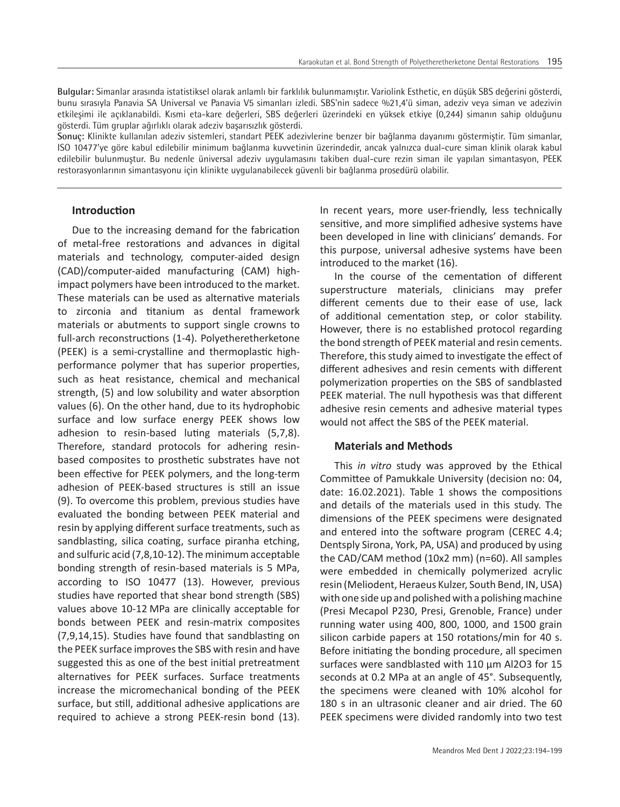**Bulgular:** Simanlar arasında istatistiksel olarak anlamlı bir farklılık bulunmamıştır. Variolink Esthetic, en düşük SBS değerini gösterdi, bunu sırasıyla Panavia SA Universal ve Panavia V5 simanları izledi. SBS'nin sadece %21,4'ü siman, adeziv veya siman ve adezivin etkileşimi ile açıklanabildi. Kısmi eta-kare değerleri, SBS değerleri üzerindeki en yüksek etkiye (0,244) simanın sahip olduğunu gösterdi. Tüm gruplar ağırlıklı olarak adeziv başarısızlık gösterdi.

**Sonuç:** Klinikte kullanılan adeziv sistemleri, standart PEEK adezivlerine benzer bir bağlanma dayanımı göstermiştir. Tüm simanlar, ISO 10477'ye göre kabul edilebilir minimum bağlanma kuvvetinin üzerindedir, ancak yalnızca dual-cure siman klinik olarak kabul edilebilir bulunmuştur. Bu nedenle üniversal adeziv uygulamasını takiben dual-cure rezin siman ile yapılan simantasyon, PEEK restorasyonlarının simantasyonu için klinikte uygulanabilecek güvenli bir bağlanma prosedürü olabilir.

## **Introduction**

Due to the increasing demand for the fabrication of metal-free restorations and advances in digital materials and technology, computer-aided design (CAD)/computer-aided manufacturing (CAM) highimpact polymers have been introduced to the market. These materials can be used as alternative materials to zirconia and titanium as dental framework materials or abutments to support single crowns to full-arch reconstructions (1-4). Polyetheretherketone (PEEK) is a semi-crystalline and thermoplastic highperformance polymer that has superior properties, such as heat resistance, chemical and mechanical strength, (5) and low solubility and water absorption values (6). On the other hand, due to its hydrophobic surface and low surface energy PEEK shows low adhesion to resin-based luting materials (5,7,8). Therefore, standard protocols for adhering resinbased composites to prosthetic substrates have not been effective for PEEK polymers, and the long-term adhesion of PEEK-based structures is still an issue (9). To overcome this problem, previous studies have evaluated the bonding between PEEK material and resin by applying different surface treatments, such as sandblasting, silica coating, surface piranha etching, and sulfuric acid (7,8,10-12). The minimum acceptable bonding strength of resin-based materials is 5 MPa, according to ISO 10477 (13). However, previous studies have reported that shear bond strength (SBS) values above 10-12 MPa are clinically acceptable for bonds between PEEK and resin-matrix composites (7,9,14,15). Studies have found that sandblasting on the PEEK surface improves the SBS with resin and have suggested this as one of the best initial pretreatment alternatives for PEEK surfaces. Surface treatments increase the micromechanical bonding of the PEEK surface, but still, additional adhesive applications are required to achieve a strong PEEK-resin bond (13).

In recent years, more user-friendly, less technically sensitive, and more simplified adhesive systems have been developed in line with clinicians' demands. For this purpose, universal adhesive systems have been introduced to the market (16).

In the course of the cementation of different superstructure materials, clinicians may prefer different cements due to their ease of use, lack of additional cementation step, or color stability. However, there is no established protocol regarding the bond strength of PEEK material and resin cements. Therefore, this study aimed to investigate the effect of different adhesives and resin cements with different polymerization properties on the SBS of sandblasted PEEK material. The null hypothesis was that different adhesive resin cements and adhesive material types would not affect the SBS of the PEEK material.

#### **Materials and Methods**

This *in vitro* study was approved by the Ethical Committee of Pamukkale University (decision no: 04, date: 16.02.2021). Table 1 shows the compositions and details of the materials used in this study. The dimensions of the PEEK specimens were designated and entered into the software program (CEREC 4.4; Dentsply Sirona, York, PA, USA) and produced by using the CAD/CAM method (10x2 mm) (n=60). All samples were embedded in chemically polymerized acrylic resin (Meliodent, Heraeus Kulzer, South Bend, IN, USA) with one side up and polished with a polishing machine (Presi Mecapol P230, Presi, Grenoble, France) under running water using 400, 800, 1000, and 1500 grain silicon carbide papers at 150 rotations/min for 40 s. Before initiating the bonding procedure, all specimen surfaces were sandblasted with 110 µm Al2O3 for 15 seconds at 0.2 MPa at an angle of 45°. Subsequently, the specimens were cleaned with 10% alcohol for 180 s in an ultrasonic cleaner and air dried. The 60 PEEK specimens were divided randomly into two test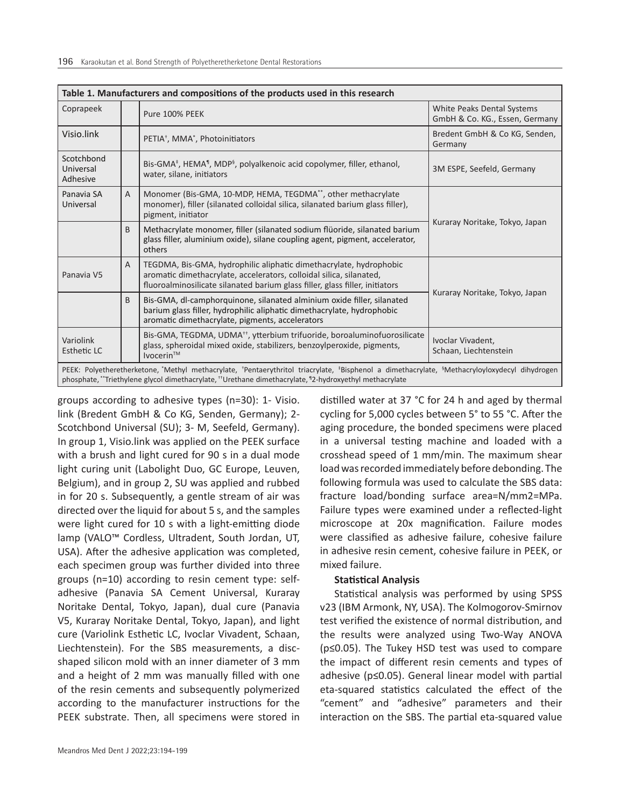| Table 1. Manufacturers and compositions of the products used in this research |                |                                                                                                                                                                                                                                                                   |                                                              |  |  |  |
|-------------------------------------------------------------------------------|----------------|-------------------------------------------------------------------------------------------------------------------------------------------------------------------------------------------------------------------------------------------------------------------|--------------------------------------------------------------|--|--|--|
| Coprapeek                                                                     |                | Pure 100% PEEK                                                                                                                                                                                                                                                    | White Peaks Dental Systems<br>GmbH & Co. KG., Essen, Germany |  |  |  |
| Visio.link                                                                    |                | PETIA <sup>+</sup> , MMA <sup>*</sup> , Photoinitiators                                                                                                                                                                                                           | Bredent GmbH & Co KG, Senden,<br>Germany                     |  |  |  |
| Scotchbond<br>Universal<br>Adhesive                                           |                | Bis-GMA <sup>‡</sup> , HEMA <sup>¶</sup> , MDP <sup>§</sup> , polyalkenoic acid copolymer, filler, ethanol,<br>water, silane, initiators                                                                                                                          | 3M ESPE, Seefeld, Germany                                    |  |  |  |
| Panavia SA<br>Universal                                                       | $\overline{A}$ | Monomer (Bis-GMA, 10-MDP, HEMA, TEGDMA**, other methacrylate<br>monomer), filler (silanated colloidal silica, silanated barium glass filler),<br>pigment, initiator                                                                                               |                                                              |  |  |  |
|                                                                               | B              | Methacrylate monomer, filler (silanated sodium flüoride, silanated barium<br>glass filler, aluminium oxide), silane coupling agent, pigment, accelerator,<br>others                                                                                               | Kuraray Noritake, Tokyo, Japan                               |  |  |  |
| Panavia V5                                                                    | A              | TEGDMA, Bis-GMA, hydrophilic aliphatic dimethacrylate, hydrophobic<br>aromatic dimethacrylate, accelerators, colloidal silica, silanated,<br>fluoroalminosilicate silanated barium glass filler, glass filler, initiators                                         | Kuraray Noritake, Tokyo, Japan                               |  |  |  |
|                                                                               | B              | Bis-GMA, dl-camphorquinone, silanated alminium oxide filler, silanated<br>barium glass filler, hydrophilic aliphatic dimethacrylate, hydrophobic<br>aromatic dimethacrylate, pigments, accelerators                                                               |                                                              |  |  |  |
| Variolink<br>Esthetic LC                                                      |                | Bis-GMA, TEGDMA, UDMA <sup>++</sup> , ytterbium trifuoride, boroaluminofuorosilicate<br>glass, spheroidal mixed oxide, stabilizers, benzoylperoxide, pigments,<br>Ivocerin <sup>TM</sup>                                                                          | Ivoclar Vivadent,<br>Schaan, Liechtenstein                   |  |  |  |
|                                                                               |                | PEEK: Polyetheretherketone, Methyl methacrylate, 1Pentaerythritol triacrylate, 1Bisphenol a dimethacrylate, <sup>5</sup> Methacryloyloxydecyl dihydrogen<br>phosphate, "Triethylene glycol dimethacrylate, "Urethane dimethacrylate, "2-hydroxyethyl methacrylate |                                                              |  |  |  |

groups according to adhesive types (n=30): 1- Visio. link (Bredent GmbH & Co KG, Senden, Germany); 2- Scotchbond Universal (SU); 3- M, Seefeld, Germany). In group 1, Visio.link was applied on the PEEK surface with a brush and light cured for 90 s in a dual mode light curing unit (Labolight Duo, GC Europe, Leuven, Belgium), and in group 2, SU was applied and rubbed in for 20 s. Subsequently, a gentle stream of air was directed over the liquid for about 5 s, and the samples were light cured for 10 s with a light-emitting diode lamp (VALO™ Cordless, Ultradent, South Jordan, UT, USA). After the adhesive application was completed, each specimen group was further divided into three groups (n=10) according to resin cement type: selfadhesive (Panavia SA Cement Universal, Kuraray Noritake Dental, Tokyo, Japan), dual cure (Panavia V5, Kuraray Noritake Dental, Tokyo, Japan), and light cure (Variolink Esthetic LC, Ivoclar Vivadent, Schaan, Liechtenstein). For the SBS measurements, a discshaped silicon mold with an inner diameter of 3 mm and a height of 2 mm was manually filled with one of the resin cements and subsequently polymerized according to the manufacturer instructions for the PEEK substrate. Then, all specimens were stored in

distilled water at 37 °C for 24 h and aged by thermal cycling for 5,000 cycles between 5° to 55 °C. After the aging procedure, the bonded specimens were placed in a universal testing machine and loaded with a crosshead speed of 1 mm/min. The maximum shear load was recorded immediately before debonding. The following formula was used to calculate the SBS data: fracture load/bonding surface area=N/mm2=MPa. Failure types were examined under a reflected-light microscope at 20x magnification. Failure modes were classified as adhesive failure, cohesive failure in adhesive resin cement, cohesive failure in PEEK, or mixed failure.

## **Statistical Analysis**

Statistical analysis was performed by using SPSS v23 (IBM Armonk, NY, USA). The Kolmogorov-Smirnov test verified the existence of normal distribution, and the results were analyzed using Two-Way ANOVA (p≤0.05). The Tukey HSD test was used to compare the impact of different resin cements and types of adhesive (p≤0.05). General linear model with partial eta-squared statistics calculated the effect of the "cement" and "adhesive" parameters and their interaction on the SBS. The partial eta-squared value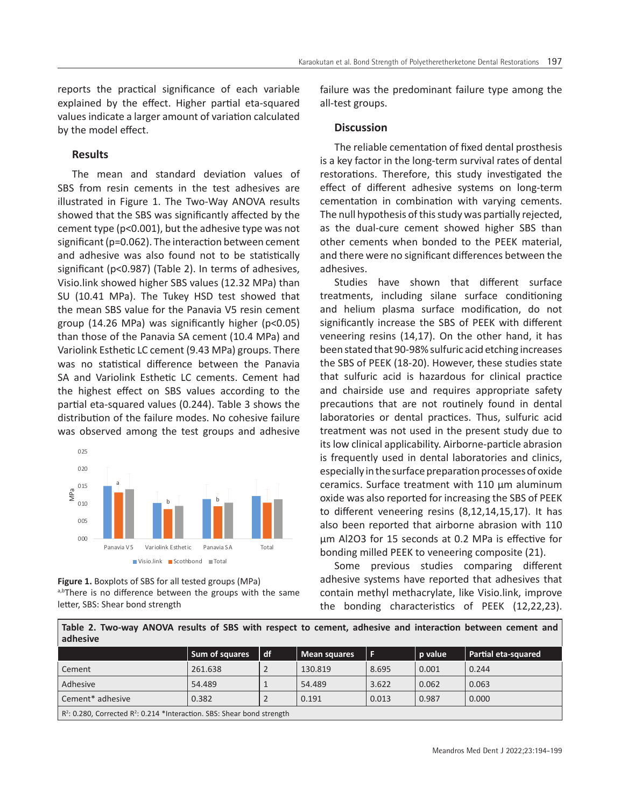reports the practical significance of each variable explained by the effect. Higher partial eta-squared values indicate a larger amount of variation calculated by the model effect.

## **Results**

The mean and standard deviation values of SBS from resin cements in the test adhesives are illustrated in Figure 1. The Two-Way ANOVA results showed that the SBS was significantly affected by the cement type (p<0.001), but the adhesive type was not significant (p=0.062). The interaction between cement and adhesive was also found not to be statistically significant (p<0.987) (Table 2). In terms of adhesives, Visio.link showed higher SBS values (12.32 MPa) than SU (10.41 MPa). The Tukey HSD test showed that the mean SBS value for the Panavia V5 resin cement group (14.26 MPa) was significantly higher (p<0.05) than those of the Panavia SA cement (10.4 MPa) and Variolink Esthetic LC cement (9.43 MPa) groups. There was no statistical difference between the Panavia SA and Variolink Esthetic LC cements. Cement had the highest effect on SBS values according to the partial eta-squared values (0.244). Table 3 shows the distribution of the failure modes. No cohesive failure was observed among the test groups and adhesive



**Figure 1.** Boxplots of SBS for all tested groups (MPa) a,bThere is no difference between the groups with the same letter, SBS: Shear bond strength

failure was the predominant failure type among the all-test groups.

## **Discussion**

The reliable cementation of fixed dental prosthesis is a key factor in the long-term survival rates of dental restorations. Therefore, this study investigated the effect of different adhesive systems on long-term cementation in combination with varying cements. The null hypothesis of this study was partially rejected, as the dual-cure cement showed higher SBS than other cements when bonded to the PEEK material, and there were no significant differences between the adhesives.

Studies have shown that different surface treatments, including silane surface conditioning and helium plasma surface modification, do not significantly increase the SBS of PEEK with different veneering resins (14,17). On the other hand, it has been stated that 90-98% sulfuric acid etching increases the SBS of PEEK (18-20). However, these studies state that sulfuric acid is hazardous for clinical practice and chairside use and requires appropriate safety precautions that are not routinely found in dental laboratories or dental practices. Thus, sulfuric acid treatment was not used in the present study due to its low clinical applicability. Airborne-particle abrasion is frequently used in dental laboratories and clinics, especially in the surface preparation processes of oxide ceramics. Surface treatment with 110 μm aluminum oxide was also reported for increasing the SBS of PEEK to different veneering resins (8,12,14,15,17). It has also been reported that airborne abrasion with 110 μm Al2O3 for 15 seconds at 0.2 MPa is effective for bonding milled PEEK to veneering composite (21).

Some previous studies comparing different adhesive systems have reported that adhesives that contain methyl methacrylate, like Visio.link, improve the bonding characteristics of PEEK (12,22,23).

**Table 2. Two-way ANOVA results of SBS with respect to cement, adhesive and interaction between cement and adhesive**

|                                                                                                 | Sum of squares | l df | Mean squares | l F   | p value | Partial eta-squared |  |  |
|-------------------------------------------------------------------------------------------------|----------------|------|--------------|-------|---------|---------------------|--|--|
| Cement                                                                                          | 261.638        |      | 130.819      | 8.695 | 0.001   | 0.244               |  |  |
| Adhesive                                                                                        | 54.489         |      | 54.489       | 3.622 | 0.062   | 0.063               |  |  |
| Cement* adhesive                                                                                | 0.382          |      | 0.191        | 0.013 | 0.987   | 0.000               |  |  |
| R <sup>2</sup> : 0.280, Corrected R <sup>2</sup> : 0.214 *Interaction. SBS: Shear bond strength |                |      |              |       |         |                     |  |  |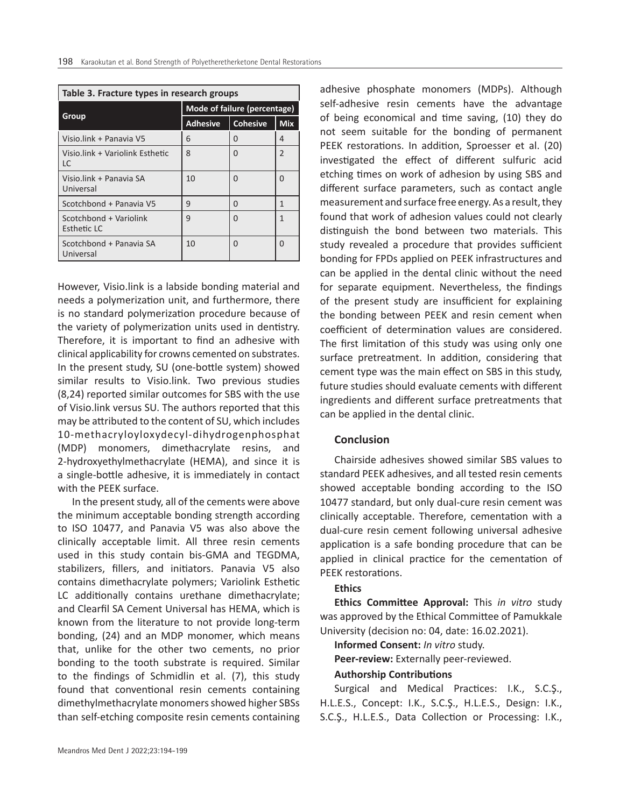| Table 3. Fracture types in research groups |                              |                 |                |  |  |  |  |  |
|--------------------------------------------|------------------------------|-----------------|----------------|--|--|--|--|--|
|                                            | Mode of failure (percentage) |                 |                |  |  |  |  |  |
| Group                                      | <b>Adhesive</b>              | <b>Cohesive</b> | <b>Mix</b>     |  |  |  |  |  |
| Visio.link + Panavia V5                    | 6                            | 0               | 4              |  |  |  |  |  |
| Visio.link + Variolink Esthetic<br>LC      | 8                            | $\Omega$        | $\overline{2}$ |  |  |  |  |  |
| Visio.link + Panavia SA<br>Universal       | 10                           | $\Omega$        | O              |  |  |  |  |  |
| Scotchbond + Panavia V5                    | 9                            | 0               | 1              |  |  |  |  |  |
| Scotchbond + Variolink<br>Esthetic LC      | 9                            | $\Omega$        | 1              |  |  |  |  |  |
| Scotchbond + Panavia SA<br>Universal       | 10                           | $\Omega$        | O              |  |  |  |  |  |

However, Visio.link is a labside bonding material and needs a polymerization unit, and furthermore, there is no standard polymerization procedure because of the variety of polymerization units used in dentistry. Therefore, it is important to find an adhesive with clinical applicability for crowns cemented on substrates. In the present study, SU (one-bottle system) showed similar results to Visio.link. Two previous studies (8,24) reported similar outcomes for SBS with the use of Visio.link versus SU. The authors reported that this may be attributed to the content of SU, which includes 10-methacryloyloxydecyl-dihydrogenphosphat (MDP) monomers, dimethacrylate resins, and 2-hydroxyethylmethacrylate (HEMA), and since it is a single-bottle adhesive, it is immediately in contact with the PEEK surface.

In the present study, all of the cements were above the minimum acceptable bonding strength according to ISO 10477, and Panavia V5 was also above the clinically acceptable limit. All three resin cements used in this study contain bis-GMA and TEGDMA, stabilizers, fillers, and initiators. Panavia V5 also contains dimethacrylate polymers; Variolink Esthetic LC additionally contains urethane dimethacrylate; and Clearfil SA Cement Universal has HEMA, which is known from the literature to not provide long-term bonding, (24) and an MDP monomer, which means that, unlike for the other two cements, no prior bonding to the tooth substrate is required. Similar to the findings of Schmidlin et al. (7), this study found that conventional resin cements containing dimethylmethacrylate monomers showed higher SBSs than self-etching composite resin cements containing

adhesive phosphate monomers (MDPs). Although self-adhesive resin cements have the advantage of being economical and time saving, (10) they do not seem suitable for the bonding of permanent PEEK restorations. In addition, Sproesser et al. (20) investigated the effect of different sulfuric acid etching times on work of adhesion by using SBS and different surface parameters, such as contact angle measurement and surface free energy. As a result, they found that work of adhesion values could not clearly distinguish the bond between two materials. This study revealed a procedure that provides sufficient bonding for FPDs applied on PEEK infrastructures and can be applied in the dental clinic without the need for separate equipment. Nevertheless, the findings of the present study are insufficient for explaining the bonding between PEEK and resin cement when coefficient of determination values are considered. The first limitation of this study was using only one surface pretreatment. In addition, considering that cement type was the main effect on SBS in this study, future studies should evaluate cements with different ingredients and different surface pretreatments that can be applied in the dental clinic.

## **Conclusion**

Chairside adhesives showed similar SBS values to standard PEEK adhesives, and all tested resin cements showed acceptable bonding according to the ISO 10477 standard, but only dual-cure resin cement was clinically acceptable. Therefore, cementation with a dual-cure resin cement following universal adhesive application is a safe bonding procedure that can be applied in clinical practice for the cementation of PEEK restorations.

#### **Ethics**

**Ethics Committee Approval:** This *in vitro* study was approved by the Ethical Committee of Pamukkale University (decision no: 04, date: 16.02.2021).

**Informed Consent:** *In vitro* study.

**Peer-review:** Externally peer-reviewed.

#### **Authorship Contributions**

Surgical and Medical Practices: I.K., S.C.Ş., H.L.E.S., Concept: I.K., S.C.Ş., H.L.E.S., Design: I.K., S.C.Ş., H.L.E.S., Data Collection or Processing: I.K.,